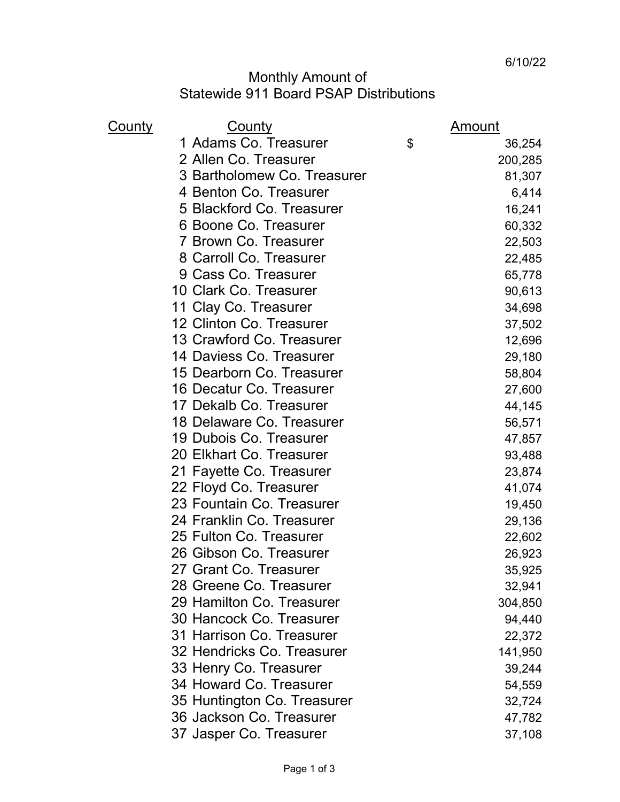## Monthly Amount of Statewide 911 Board PSAP Distributions

| <u>County</u> | <b>County</b>               | <u>Amount</u> |
|---------------|-----------------------------|---------------|
|               | 1 Adams Co. Treasurer       | \$<br>36,254  |
|               | 2 Allen Co. Treasurer       | 200,285       |
|               | 3 Bartholomew Co. Treasurer | 81,307        |
|               | 4 Benton Co. Treasurer      | 6,414         |
|               | 5 Blackford Co. Treasurer   | 16,241        |
|               | 6 Boone Co. Treasurer       | 60,332        |
|               | 7 Brown Co. Treasurer       | 22,503        |
|               | 8 Carroll Co. Treasurer     | 22,485        |
|               | 9 Cass Co. Treasurer        | 65,778        |
|               | 10 Clark Co. Treasurer      | 90,613        |
|               | 11 Clay Co. Treasurer       | 34,698        |
|               | 12 Clinton Co. Treasurer    | 37,502        |
|               | 13 Crawford Co. Treasurer   | 12,696        |
|               | 14 Daviess Co. Treasurer    | 29,180        |
|               | 15 Dearborn Co. Treasurer   | 58,804        |
|               | 16 Decatur Co. Treasurer    | 27,600        |
|               | 17 Dekalb Co. Treasurer     | 44,145        |
|               | 18 Delaware Co. Treasurer   | 56,571        |
|               | 19 Dubois Co. Treasurer     | 47,857        |
|               | 20 Elkhart Co. Treasurer    | 93,488        |
|               | 21 Fayette Co. Treasurer    | 23,874        |
|               | 22 Floyd Co. Treasurer      | 41,074        |
|               | 23 Fountain Co. Treasurer   | 19,450        |
|               | 24 Franklin Co. Treasurer   | 29,136        |
|               | 25 Fulton Co. Treasurer     | 22,602        |
|               | 26 Gibson Co. Treasurer     | 26,923        |
|               | 27 Grant Co. Treasurer      | 35,925        |
|               | 28 Greene Co. Treasurer     | 32,941        |
|               | 29 Hamilton Co. Treasurer   | 304,850       |
|               | 30 Hancock Co. Treasurer    | 94,440        |
|               | 31 Harrison Co. Treasurer   | 22,372        |
|               | 32 Hendricks Co. Treasurer  | 141,950       |
|               | 33 Henry Co. Treasurer      | 39,244        |
|               | 34 Howard Co. Treasurer     | 54,559        |
|               | 35 Huntington Co. Treasurer | 32,724        |
|               | 36 Jackson Co. Treasurer    | 47,782        |
|               | 37 Jasper Co. Treasurer     | 37,108        |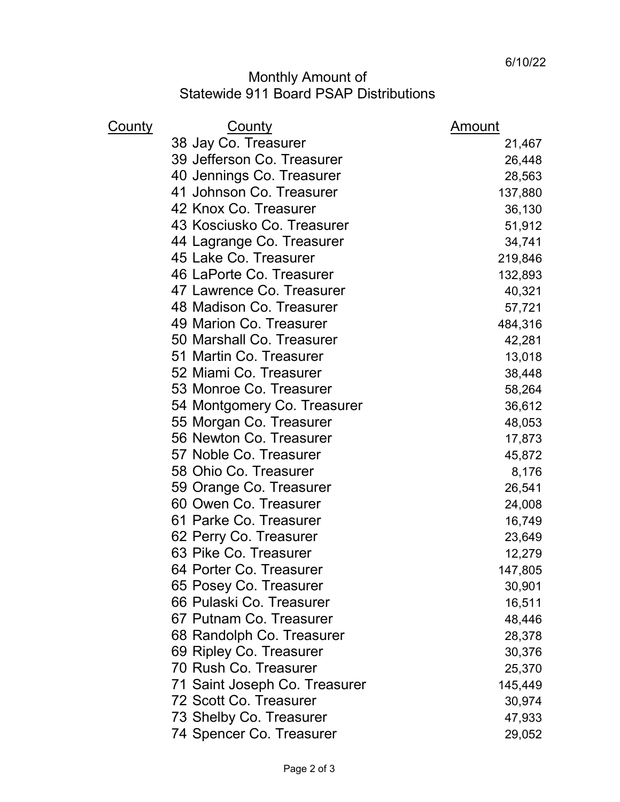## Monthly Amount of Statewide 911 Board PSAP Distributions

| <u>County</u> | <b>County</b>                 | Amount  |
|---------------|-------------------------------|---------|
|               | 38 Jay Co. Treasurer          | 21,467  |
|               | 39 Jefferson Co. Treasurer    | 26,448  |
|               | 40 Jennings Co. Treasurer     | 28,563  |
|               | 41 Johnson Co. Treasurer      | 137,880 |
|               | 42 Knox Co. Treasurer         | 36,130  |
|               | 43 Kosciusko Co. Treasurer    | 51,912  |
|               | 44 Lagrange Co. Treasurer     | 34,741  |
|               | 45 Lake Co. Treasurer         | 219,846 |
|               | 46 LaPorte Co. Treasurer      | 132,893 |
|               | 47 Lawrence Co. Treasurer     | 40,321  |
|               | 48 Madison Co. Treasurer      | 57,721  |
|               | 49 Marion Co. Treasurer       | 484,316 |
|               | 50 Marshall Co. Treasurer     | 42,281  |
|               | 51 Martin Co. Treasurer       | 13,018  |
|               | 52 Miami Co. Treasurer        | 38,448  |
|               | 53 Monroe Co. Treasurer       | 58,264  |
|               | 54 Montgomery Co. Treasurer   | 36,612  |
|               | 55 Morgan Co. Treasurer       | 48,053  |
|               | 56 Newton Co. Treasurer       | 17,873  |
|               | 57 Noble Co. Treasurer        | 45,872  |
|               | 58 Ohio Co. Treasurer         | 8,176   |
|               | 59 Orange Co. Treasurer       | 26,541  |
|               | 60 Owen Co. Treasurer         | 24,008  |
|               | 61 Parke Co. Treasurer        | 16,749  |
|               | 62 Perry Co. Treasurer        | 23,649  |
|               | 63 Pike Co. Treasurer         | 12,279  |
|               | 64 Porter Co. Treasurer       | 147,805 |
|               | 65 Posey Co. Treasurer        | 30,901  |
|               | 66 Pulaski Co. Treasurer      | 16,511  |
|               | 67 Putnam Co. Treasurer       | 48,446  |
|               | 68 Randolph Co. Treasurer     | 28,378  |
|               | 69 Ripley Co. Treasurer       | 30,376  |
|               | 70 Rush Co. Treasurer         | 25,370  |
|               | 71 Saint Joseph Co. Treasurer | 145,449 |
|               | 72 Scott Co. Treasurer        | 30,974  |
|               | 73 Shelby Co. Treasurer       | 47,933  |
|               | 74 Spencer Co. Treasurer      | 29,052  |